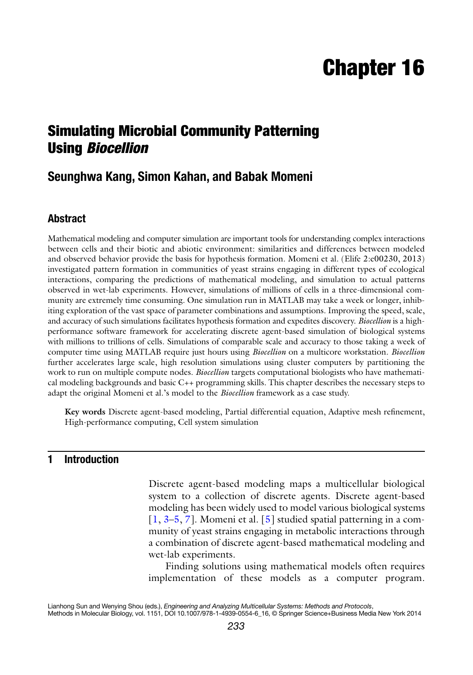# Chapter 16

# Simulating Microbial Community Patterning Using *Biocellion*

## **Seunghwa Kang, Simon Kahan, and Babak Momeni**

#### **Abstract**

Mathematical modeling and computer simulation are important tools for understanding complex interactions between cells and their biotic and abiotic environment: similarities and differences between modeled and observed behavior provide the basis for hypothesis formation. Momeni et al. (Elife 2:e00230, 2013) investigated pattern formation in communities of yeast strains engaging in different types of ecological interactions, comparing the predictions of mathematical modeling, and simulation to actual patterns observed in wet-lab experiments. However, simulations of millions of cells in a three-dimensional community are extremely time consuming. One simulation run in MATLAB may take a week or longer, inhibiting exploration of the vast space of parameter combinations and assumptions. Improving the speed, scale, and accuracy of such simulations facilitates hypothesis formation and expedites discovery. *Biocellion* is a highperformance software framework for accelerating discrete agent-based simulation of biological systems with millions to trillions of cells. Simulations of comparable scale and accuracy to those taking a week of computer time using MATLAB require just hours using *Biocellion* on a multicore workstation. *Biocellion* further accelerates large scale, high resolution simulations using cluster computers by partitioning the work to run on multiple compute nodes. *Biocellion* targets computational biologists who have mathematical modeling backgrounds and basic C++ programming skills. This chapter describes the necessary steps to adapt the original Momeni et al.'s model to the *Biocellion* framework as a case study.

**Key words** Discrete agent-based modeling, Partial differential equation, Adaptive mesh refinement, High-performance computing, Cell system simulation

### **1 Introduction**

Discrete agent-based modeling maps a multicellular biological system to a collection of discrete agents. Discrete agent-based modeling has been widely used to model various biological systems  $[1, 3-5, 7]$  $[1, 3-5, 7]$  $[1, 3-5, 7]$  $[1, 3-5, 7]$  $[1, 3-5, 7]$  $[1, 3-5, 7]$ . Momeni et al.  $[5]$  $[5]$  studied spatial patterning in a community of yeast strains engaging in metabolic interactions through a combination of discrete agent-based mathematical modeling and wet-lab experiments.

Finding solutions using mathematical models often requires implementation of these models as a computer program.

Lianhong Sun and Wenying Shou (eds.), *Engineering and Analyzing Multicellular Systems: Methods and Protocols*,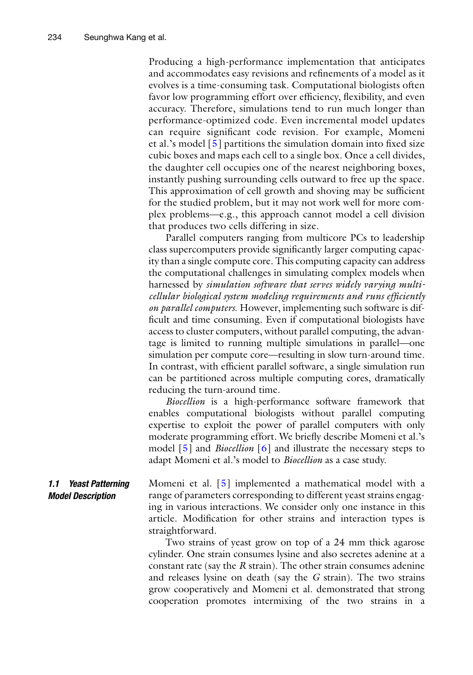Producing a high-performance implementation that anticipates and accommodates easy revisions and refinements of a model as it evolves is a time-consuming task. Computational biologists often favor low programming effort over efficiency, flexibility, and even accuracy. Therefore, simulations tend to run much longer than performance-optimized code. Even incremental model updates can require significant code revision. For example, Momeni et al.'s model [\[5](#page-20-2)] partitions the simulation domain into fixed size cubic boxes and maps each cell to a single box. Once a cell divides, the daughter cell occupies one of the nearest neighboring boxes, instantly pushing surrounding cells outward to free up the space. This approximation of cell growth and shoving may be sufficient for the studied problem, but it may not work well for more complex problems—e.g., this approach cannot model a cell division that produces two cells differing in size.

Parallel computers ranging from multicore PCs to leadership class supercomputers provide significantly larger computing capacity than a single compute core. This computing capacity can address the computational challenges in simulating complex models when harnessed by *simulation software that serves widely varying multicellular biological system modeling requirements and runs efficiently on parallel computers*. However, implementing such software is difficult and time consuming. Even if computational biologists have access to cluster computers, without parallel computing, the advantage is limited to running multiple simulations in parallel—one simulation per compute core—resulting in slow turn-around time. In contrast, with efficient parallel software, a single simulation run can be partitioned across multiple computing cores, dramatically reducing the turn-around time.

*Biocellion* is a high-performance software framework that enables computational biologists without parallel computing expertise to exploit the power of parallel computers with only moderate programming effort. We briefly describe Momeni et al.'s model [[5\]](#page-20-2) and *Biocellion* [\[6\]](#page-20-4) and illustrate the necessary steps to adapt Momeni et al.'s model to *Biocellion* as a case study.

Momeni et al. [[5\]](#page-20-2) implemented a mathematical model with a range of parameters corresponding to different yeast strains engaging in various interactions. We consider only one instance in this article. Modification for other strains and interaction types is straightforward. *1.1 Yeast Patterning Model Description*

> Two strains of yeast grow on top of a 24 mm thick agarose cylinder. One strain consumes lysine and also secretes adenine at a constant rate (say the *R* strain). The other strain consumes adenine and releases lysine on death (say the *G* strain). The two strains grow cooperatively and Momeni et al. demonstrated that strong cooperation promotes intermixing of the two strains in a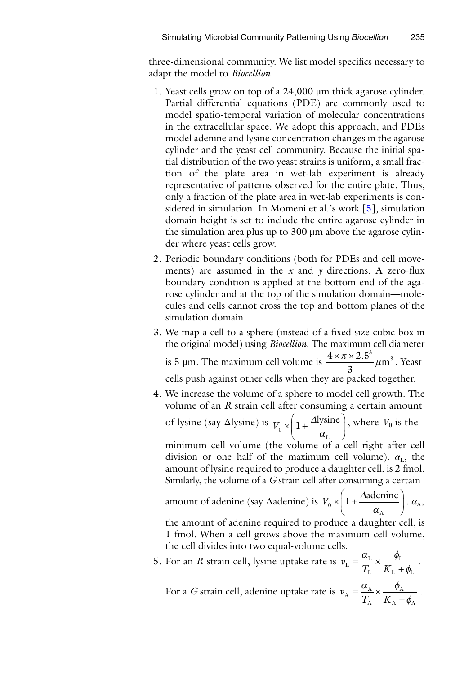three-dimensional community. We list model specifics necessary to adapt the model to *Biocellion*.

- 1. Yeast cells grow on top of a 24,000 μm thick agarose cylinder. Partial differential equations (PDE) are commonly used to model spatio-temporal variation of molecular concentrations in the extracellular space. We adopt this approach, and PDEs model adenine and lysine concentration changes in the agarose cylinder and the yeast cell community. Because the initial spatial distribution of the two yeast strains is uniform, a small fraction of the plate area in wet-lab experiment is already representative of patterns observed for the entire plate. Thus, only a fraction of the plate area in wet-lab experiments is considered in simulation. In Momeni et al.'s work [[5\]](#page-20-2), simulation domain height is set to include the entire agarose cylinder in the simulation area plus up to 300 μm above the agarose cylinder where yeast cells grow.
- 2. Periodic boundary conditions (both for PDEs and cell movements) are assumed in the *x* and *y* directions. A zero-flux boundary condition is applied at the bottom end of the agarose cylinder and at the top of the simulation domain—molecules and cells cannot cross the top and bottom planes of the simulation domain.
- 3. We map a cell to a sphere (instead of a fixed size cubic box in the original model) using *Biocellion*. The maximum cell diameter is 5  $\mu$ m. The maximum cell volume is  $\frac{4 \times \pi \times 2.5}{3}$  $\frac{\times \pi \times 2.5^3}{2} \mu m^3$ . Yeast cells push against other cells when they are packed together.
- 4. We increase the volume of a sphere to model cell growth. The volume of an *R* strain cell after consuming a certain amount

of lysine (say 
$$
\Delta
$$
lysine) is  $V_0 \times \left(1 + \frac{\Delta \text{lysine}}{\alpha_L}\right)$ , where  $V_0$  is the

minimum cell volume (the volume of a cell right after cell division or one half of the maximum cell volume).  $\alpha_{\text{L}}$ , the amount of lysine required to produce a daughter cell, is 2 fmol. Similarly, the volume of a *G* strain cell after consuming a certain

amount of adenine (say  $\Delta$ adenine) is  $\left. V_0 \times \right| 1 +$  $\setminus$  $\left(1+\frac{\Delta \text{adenine}}{n}\right)$  $\overline{\phantom{a}}$  $\frac{\Delta$ adenine adenine A .  $\alpha_{A}$ ,

the amount of adenine required to produce a daughter cell, is 1 fmol. When a cell grows above the maximum cell volume, the cell divides into two equal-volume cells.

5. For an *R* strain cell, lysine uptake rate is 
$$
v_L = \frac{\alpha_L}{T_L} \times \frac{\phi_L}{K_L + \phi_L}
$$
.

For a *G* strain cell, adenine uptake rate is  $v_A = \frac{\alpha_A}{T_A} \times \frac{\pi}{K}$ A A  $A$   $\mathbf{\varphi}_{A}$  $=\frac{u_A}{u} \times$ +  $\frac{\alpha_{\text{\tiny A}}}{T_{\text{\tiny A}}} \times \frac{\phi_{\text{\tiny A}}}{K_{\text{\tiny A}}+\phi_{\text{\tiny A}}}\,.$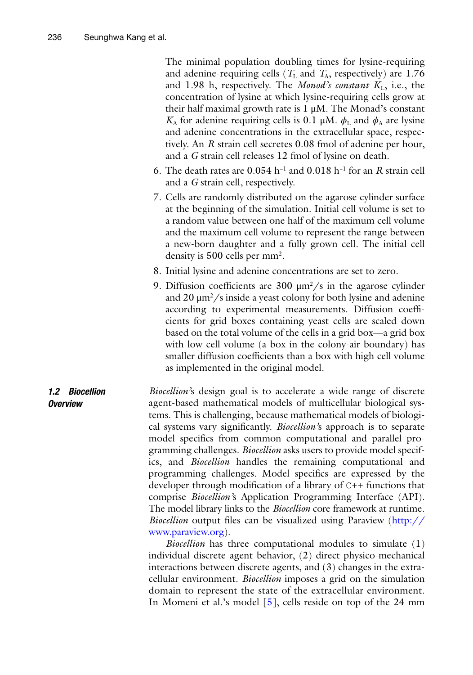The minimal population doubling times for lysine-requiring and adenine-requiring cells ( $T_L$  and  $T_A$ , respectively) are 1.76 and 1.98 h, respectively. The *Monod's constant K*<sub>L</sub>, i.e., the concentration of lysine at which lysine-requiring cells grow at their half maximal growth rate is  $1 \mu$ M. The Monad's constant *K*<sub>A</sub> for adenine requiring cells is 0.1 μM.  $φ$ <sub>L</sub> and  $φ$ <sub>A</sub> are lysine and adenine concentrations in the extracellular space, respectively. An *R* strain cell secretes 0.08 fmol of adenine per hour, and a *G* strain cell releases 12 fmol of lysine on death.

- 6. The death rates are 0.054 h−1 and 0.018 h−1 for an *R* strain cell and a *G* strain cell, respectively.
- 7. Cells are randomly distributed on the agarose cylinder surface at the beginning of the simulation. Initial cell volume is set to a random value between one half of the maximum cell volume and the maximum cell volume to represent the range between a new-born daughter and a fully grown cell. The initial cell density is 500 cells per mm2.
- 8. Initial lysine and adenine concentrations are set to zero.
- 9. Diffusion coefficients are 300  $\mu$ m<sup>2</sup>/s in the agarose cylinder and 20  $\mu$ m<sup>2</sup>/s inside a yeast colony for both lysine and adenine according to experimental measurements. Diffusion coefficients for grid boxes containing yeast cells are scaled down based on the total volume of the cells in a grid box—a grid box with low cell volume (a box in the colony-air boundary) has smaller diffusion coefficients than a box with high cell volume as implemented in the original model.
- *Biocellion'*s design goal is to accelerate a wide range of discrete agent-based mathematical models of multicellular biological systems. This is challenging, because mathematical models of biological systems vary significantly. *Biocellion'*s approach is to separate model specifics from common computational and parallel programming challenges. *Biocellion* asks users to provide model specifics, and *Biocellion* handles the remaining computational and programming challenges. Model specifics are expressed by the developer through modification of a library of C++ functions that comprise *Biocellion'*s Application Programming Interface (API). The model library links to the *Biocellion* core framework at runtime. *Biocellion* output files can be visualized using Paraview [\(http://](http://www.paraview.org/) [www.paraview.org](http://www.paraview.org/)). *1.2 Biocellion Overview*

*Biocellion* has three computational modules to simulate (1) individual discrete agent behavior, (2) direct physico-mechanical interactions between discrete agents, and (3) changes in the extracellular environment. *Biocellion* imposes a grid on the simulation domain to represent the state of the extracellular environment. In Momeni et al.'s model [\[5\]](#page-20-2), cells reside on top of the 24 mm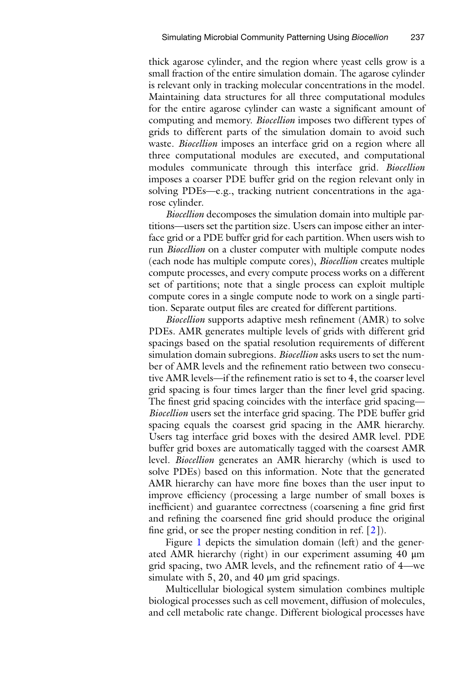thick agarose cylinder, and the region where yeast cells grow is a small fraction of the entire simulation domain. The agarose cylinder is relevant only in tracking molecular concentrations in the model. Maintaining data structures for all three computational modules for the entire agarose cylinder can waste a significant amount of computing and memory. *Biocellion* imposes two different types of grids to different parts of the simulation domain to avoid such waste. *Biocellion* imposes an interface grid on a region where all three computational modules are executed, and computational modules communicate through this interface grid. *Biocellion* imposes a coarser PDE buffer grid on the region relevant only in solving PDEs—e.g., tracking nutrient concentrations in the agarose cylinder.

*Biocellion* decomposes the simulation domain into multiple partitions—users set the partition size. Users can impose either an interface grid or a PDE buffer grid for each partition. When users wish to run *Biocellion* on a cluster computer with multiple compute nodes (each node has multiple compute cores), *Biocellion* creates multiple compute processes, and every compute process works on a different set of partitions; note that a single process can exploit multiple compute cores in a single compute node to work on a single partition. Separate output files are created for different partitions.

*Biocellion* supports adaptive mesh refinement (AMR) to solve PDEs. AMR generates multiple levels of grids with different grid spacings based on the spatial resolution requirements of different simulation domain subregions. *Biocellion* asks users to set the number of AMR levels and the refinement ratio between two consecutive AMR levels—if the refinement ratio is set to 4, the coarser level grid spacing is four times larger than the finer level grid spacing. The finest grid spacing coincides with the interface grid spacing— *Biocellion* users set the interface grid spacing. The PDE buffer grid spacing equals the coarsest grid spacing in the AMR hierarchy. Users tag interface grid boxes with the desired AMR level. PDE buffer grid boxes are automatically tagged with the coarsest AMR level. *Biocellion* generates an AMR hierarchy (which is used to solve PDEs) based on this information. Note that the generated AMR hierarchy can have more fine boxes than the user input to improve efficiency (processing a large number of small boxes is inefficient) and guarantee correctness (coarsening a fine grid first and refining the coarsened fine grid should produce the original fine grid, or see the proper nesting condition in ref.  $[2]$  $[2]$  $[2]$ ).

Figure [1](#page-5-0) depicts the simulation domain (left) and the generated AMR hierarchy (right) in our experiment assuming 40 μm grid spacing, two AMR levels, and the refinement ratio of 4—we simulate with 5, 20, and 40 μm grid spacings.

Multicellular biological system simulation combines multiple biological processes such as cell movement, diffusion of molecules, and cell metabolic rate change. Different biological processes have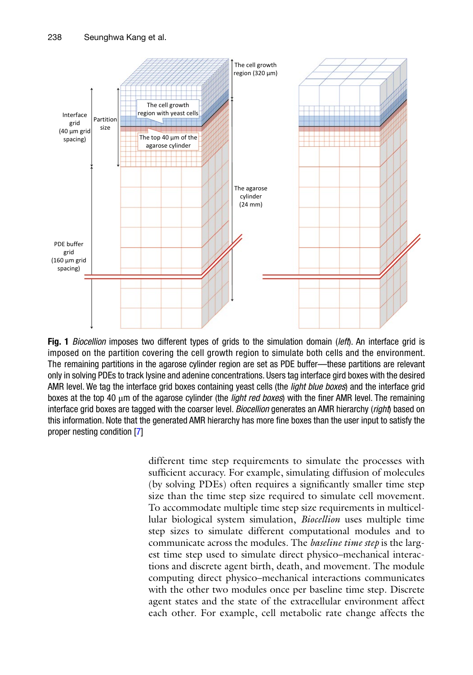<span id="page-5-0"></span>

**Fig. 1** *Biocellion* imposes two different types of grids to the simulation domain (*left*). An interface grid is imposed on the partition covering the cell growth region to simulate both cells and the environment. The remaining partitions in the agarose cylinder region are set as PDE buffer—these partitions are relevant only in solving PDEs to track lysine and adenine concentrations. Users tag interface gird boxes with the desired AMR level. We tag the interface grid boxes containing yeast cells (the *light blue boxes*) and the interface grid boxes at the top 40 μm of the agarose cylinder (the *light red boxes*) with the finer AMR level. The remaining interface grid boxes are tagged with the coarser level. *Biocellion* generates an AMR hierarchy (*right*) based on this information. Note that the generated AMR hierarchy has more fine boxes than the user input to satisfy the proper nesting condition [[7](#page-20-3)]

different time step requirements to simulate the processes with sufficient accuracy. For example, simulating diffusion of molecules (by solving PDEs) often requires a significantly smaller time step size than the time step size required to simulate cell movement. To accommodate multiple time step size requirements in multicellular biological system simulation, *Biocellion* uses multiple time step sizes to simulate different computational modules and to communicate across the modules. The *baseline time step* is the largest time step used to simulate direct physico–mechanical interactions and discrete agent birth, death, and movement. The module computing direct physico–mechanical interactions communicates with the other two modules once per baseline time step. Discrete agent states and the state of the extracellular environment affect each other. For example, cell metabolic rate change affects the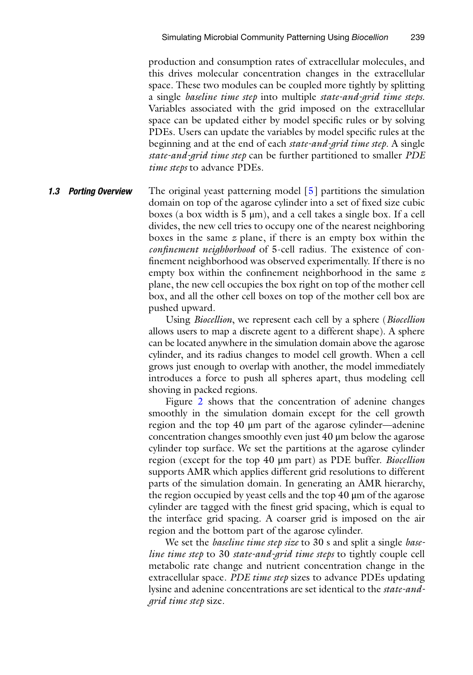<span id="page-6-0"></span>production and consumption rates of extracellular molecules, and this drives molecular concentration changes in the extracellular space. These two modules can be coupled more tightly by splitting a single *baseline time step* into multiple *state-and-grid time steps*. Variables associated with the grid imposed on the extracellular space can be updated either by model specific rules or by solving PDEs. Users can update the variables by model specific rules at the beginning and at the end of each *state-and-grid time step*. A single *state-and-grid time step* can be further partitioned to smaller *PDE time steps* to advance PDEs.

The original yeast patterning model [\[5\]](#page-20-2) partitions the simulation domain on top of the agarose cylinder into a set of fixed size cubic boxes (a box width is  $5 \mu m$ ), and a cell takes a single box. If a cell divides, the new cell tries to occupy one of the nearest neighboring boxes in the same *z* plane, if there is an empty box within the *confinement neighborhood* of 5-cell radius. The existence of confinement neighborhood was observed experimentally. If there is no empty box within the confinement neighborhood in the same *z* plane, the new cell occupies the box right on top of the mother cell box, and all the other cell boxes on top of the mother cell box are pushed upward. *1.3 Porting Overview*

Using *Biocellion*, we represent each cell by a sphere (*Biocellion* allows users to map a discrete agent to a different shape). A sphere can be located anywhere in the simulation domain above the agarose cylinder, and its radius changes to model cell growth. When a cell grows just enough to overlap with another, the model immediately introduces a force to push all spheres apart, thus modeling cell shoving in packed regions.

Figure [2](#page-7-0) shows that the concentration of adenine changes smoothly in the simulation domain except for the cell growth region and the top 40 μm part of the agarose cylinder—adenine concentration changes smoothly even just 40 μm below the agarose cylinder top surface. We set the partitions at the agarose cylinder region (except for the top 40 μm part) as PDE buffer. *Biocellion* supports AMR which applies different grid resolutions to different parts of the simulation domain. In generating an AMR hierarchy, the region occupied by yeast cells and the top 40 μm of the agarose cylinder are tagged with the finest grid spacing, which is equal to the interface grid spacing. A coarser grid is imposed on the air region and the bottom part of the agarose cylinder.

We set the *baseline time step size* to 30 s and split a single *baseline time step* to 30 *state-and-grid time steps* to tightly couple cell metabolic rate change and nutrient concentration change in the extracellular space. *PDE time step* sizes to advance PDEs updating lysine and adenine concentrations are set identical to the *state-andgrid time step* size.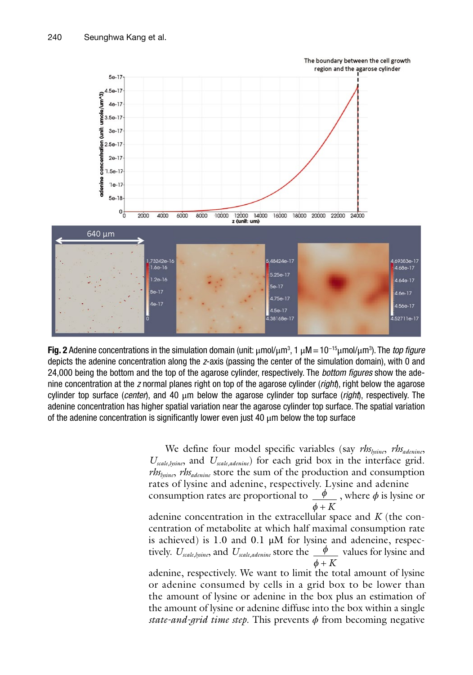<span id="page-7-0"></span>

**Fig. 2** Adenine concentrations in the simulation domain (unit: μmol/μm3 , 1 μM=10−15μmol/μm3 ). The *top figure* depicts the adenine concentration along the *z*-axis (passing the center of the simulation domain), with 0 and 24,000 being the bottom and the top of the agarose cylinder, respectively. The *bottom figures* show the adenine concentration at the *z* normal planes right on top of the agarose cylinder (*right*), right below the agarose cylinder top surface (*center*), and 40 μm below the agarose cylinder top surface (*right*), respectively. The adenine concentration has higher spatial variation near the agarose cylinder top surface. The spatial variation of the adenine concentration is significantly lower even just 40  $\mu$ m below the top surface

We define four model specific variables (say *rhslysine*, *rhsadenine*, *Uscale*,*lysine*, and *Uscale*,*adenine*) for each grid box in the interface grid. *rhslysine*, *rhsadenine* store the sum of the production and consumption rates of lysine and adenine, respectively. Lysine and adenine consumption rates are proportional to  $\frac{\phi}{\phi}$  $\phi + K$ , where *ϕ* is lysine or adenine concentration in the extracellular space and *K* (the concentration of metabolite at which half maximal consumption rate is achieved) is 1.0 and 0.1 μM for lysine and adeneine, respectively.  $U_{\textit{scale,lysine}}$  and  $U_{\textit{scale,adenine}}$  store the  $\_\,\phi$  $\phi + K$  values for lysine and adenine, respectively. We want to limit the total amount of lysine

or adenine consumed by cells in a grid box to be lower than the amount of lysine or adenine in the box plus an estimation of the amount of lysine or adenine diffuse into the box within a single *state-and-grid time step*. This prevents *ϕ* from becoming negative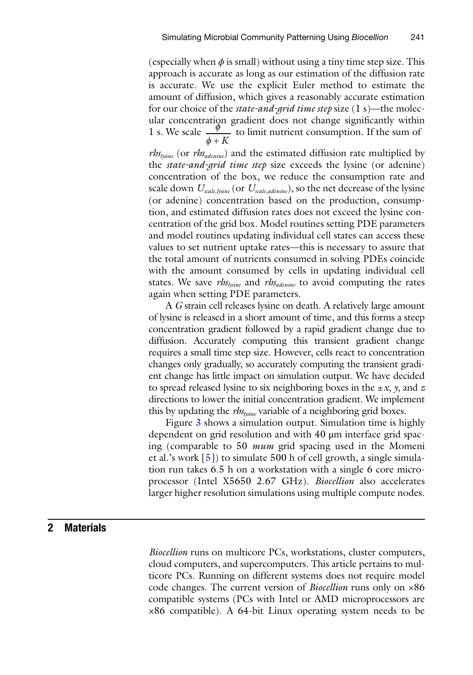(especially when  $\phi$  is small) without using a tiny time step size. This approach is accurate as long as our estimation of the diffusion rate is accurate. We use the explicit Euler method to estimate the amount of diffusion, which gives a reasonably accurate estimation for our choice of the *state-and-grid time step* size (1 s)—the molecular concentration gradient does not change significantly within 1 s. We scale  $\frac{\phi}{\phi + K}$  to limit nutrient consumption. If the sum of

*rhs*<sub>lysine</sub> (or *rhs<sub>adenine*) and the estimated diffusion rate multiplied by</sub> the *state-and-grid time step* size exceeds the lysine (or adenine) concentration of the box, we reduce the consumption rate and scale down *Uscale*,*lysine* (or *Uscale*,*adenine*), so the net decrease of the lysine (or adenine) concentration based on the production, consumption, and estimated diffusion rates does not exceed the lysine concentration of the grid box. Model routines setting PDE parameters and model routines updating individual cell states can access these values to set nutrient uptake rates—this is necessary to assure that the total amount of nutrients consumed in solving PDEs coincide with the amount consumed by cells in updating individual cell states. We save *rhs<sub>lysine</sub>* and *rhs<sub>adenine</sub>* to avoid computing the rates again when setting PDE parameters.

A *G* strain cell releases lysine on death. A relatively large amount of lysine is released in a short amount of time, and this forms a steep concentration gradient followed by a rapid gradient change due to diffusion. Accurately computing this transient gradient change requires a small time step size. However, cells react to concentration changes only gradually, so accurately computing the transient gradient change has little impact on simulation output. We have decided to spread released lysine to six neighboring boxes in the  $\pm x$ , *y*, and *z* directions to lower the initial concentration gradient. We implement this by updating the *rhslysine* variable of a neighboring grid boxes.

Figure [3](#page-9-0) shows a simulation output. Simulation time is highly dependent on grid resolution and with 40 μm interface grid spacing (comparable to 50 *mum* grid spacing used in the Momeni et al.'s work  $\lceil 5 \rceil$ ) to simulate 500 h of cell growth, a single simulation run takes 6.5 h on a workstation with a single 6 core microprocessor (Intel X5650 2.67 GHz). *Biocellion* also accelerates larger higher resolution simulations using multiple compute nodes.

#### **2 Materials**

*Biocellion* runs on multicore PCs, workstations, cluster computers, cloud computers, and supercomputers. This article pertains to multicore PCs. Running on different systems does not require model code changes. The current version of *Biocellion* runs only on ×86 compatible systems (PCs with Intel or AMD microprocessors are ×86 compatible). A 64-bit Linux operating system needs to be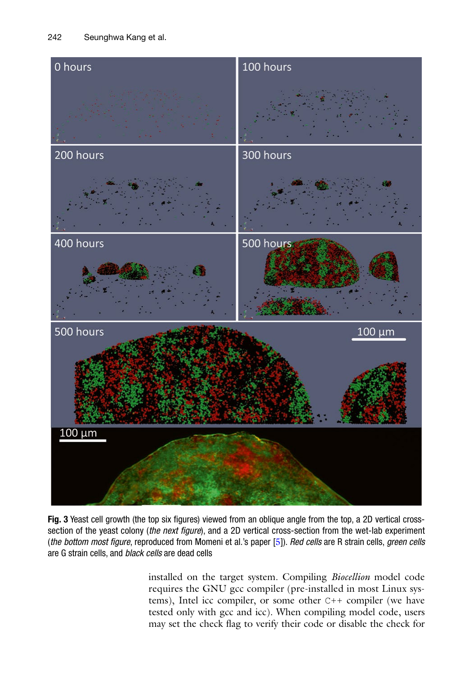<span id="page-9-0"></span>

**Fig. 3** Yeast cell growth (the top six figures) viewed from an oblique angle from the top, a 2D vertical crosssection of the yeast colony (*the next figure*), and a 2D vertical cross-section from the wet-lab experiment (*the bottom most figure*, reproduced from Momeni et al.'s paper [[5](#page-20-2)]). *Red cells* are R strain cells, *green cells* are G strain cells, and *black cells* are dead cells

installed on the target system. Compiling *Biocellion* model code requires the GNU gcc compiler (pre-installed in most Linux systems), Intel icc compiler, or some other C++ compiler (we have tested only with gcc and icc). When compiling model code, users may set the check flag to verify their code or disable the check for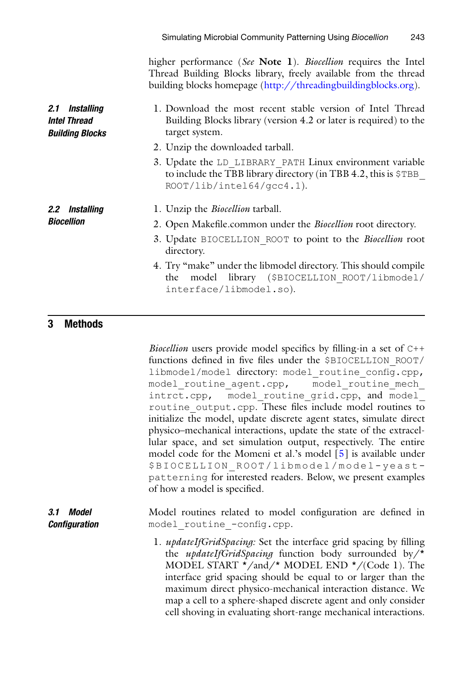higher performance (*See* **Note 1**). *Biocellion* requires the Intel Thread Building Blocks library, freely available from the thread building blocks homepage ([http://threadingbuildingblocks.org\)](http://threadingbuildingblocks.org/).

- 1. Download the most recent stable version of Intel Thread Building Blocks library (version 4.2 or later is required) to the target system. *2.1 Installing Intel Thread Building Blocks*
	- 2. Unzip the downloaded tarball.
	- 3. Update the LD\_LIBRARY\_PATH Linux environment variable to include the TBB library directory (in TBB 4.2, this is \$TBB\_ ROOT/lib/intel64/gcc4.1).

*2.2 Installing Biocellion*

- 1. Unzip the *Biocellion* tarball.
	- 2. Open Makefile.common under the *Biocellion* root directory.
	- 3. Update BIOCELLION\_ROOT to point to the *Biocellion* root directory.
	- 4. Try "make" under the libmodel directory. This should compile the model library (\$BIOCELLION\_ROOT/libmodel/ interface/libmodel.so).

#### **3 Methods**

*Biocellion* users provide model specifics by filling-in a set of C++ functions defined in five files under the \$BIOCELLION\_ROOT/ libmodel/model directory: model\_routine\_config.cpp, model routine agent.cpp, model routine mech intrct.cpp, model\_routine\_grid.cpp, and model\_ routine output.cpp. These files include model routines to initialize the model, update discrete agent states, simulate direct physico–mechanical interactions, update the state of the extracellular space, and set simulation output, respectively. The entire model code for the Momeni et al.'s model [[5\]](#page-20-2) is available under \$BIOCELLION\_ROOT/libmodel/model-yeastpatterning for interested readers. Below, we present examples of how a model is specified.

| 3.1 Model            |                            |  | Model routines related to model configuration are defined in |  |  |
|----------------------|----------------------------|--|--------------------------------------------------------------|--|--|
| <b>Configuration</b> | model routine -config.cpp. |  |                                                              |  |  |

1. *updateIfGridSpacing:* Set the interface grid spacing by filling the *updateIfGridSpacing* function body surrounded by/\* MODEL START \*/and/\* MODEL END \*/(Code 1). The interface grid spacing should be equal to or larger than the maximum direct physico-mechanical interaction distance. We map a cell to a sphere-shaped discrete agent and only consider cell shoving in evaluating short-range mechanical interactions.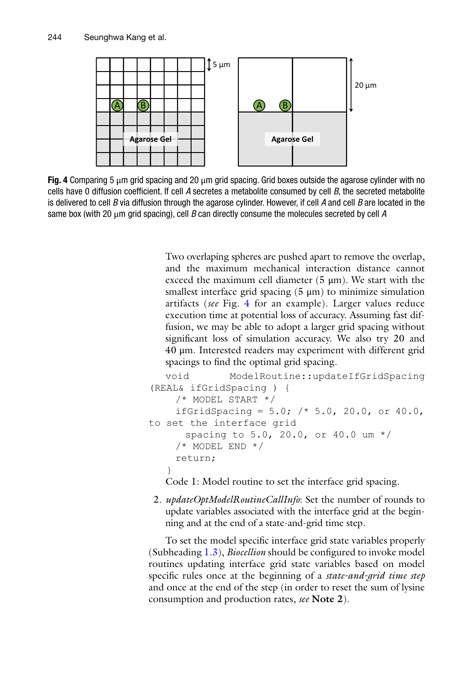<span id="page-11-0"></span>

**Fig. 4** Comparing 5 μm grid spacing and 20 μm grid spacing. Grid boxes outside the agarose cylinder with no cells have 0 diffusion coefficient. If cell *A* secretes a metabolite consumed by cell *B*, the secreted metabolite is delivered to cell *B* via diffusion through the agarose cylinder. However, if cell *A* and cell *B* are located in the same box (with 20 μm grid spacing), cell *B* can directly consume the molecules secreted by cell *A*

Two overlaping spheres are pushed apart to remove the overlap, and the maximum mechanical interaction distance cannot exceed the maximum cell diameter  $(5 \mu m)$ . We start with the smallest interface grid spacing  $(5 \mu m)$  to minimize simulation artifacts (*see* Fig. [4](#page-11-0) for an example). Larger values reduce execution time at potential loss of accuracy. Assuming fast diffusion, we may be able to adopt a larger grid spacing without significant loss of simulation accuracy. We also try 20 and 40 μm. Interested readers may experiment with different grid spacings to find the optimal grid spacing.

```
void ModelRoutine::updateIfGridSpacing 
(REAL& ifGridSpacing ) {
     /* MODEL START */
    ifGridSpacing = 5.0; /* 5.0, 20.0, or 40.0,
to set the interface grid
        spacing to 5.0, 20.0, or 40.0 um */
     /* MODEL END */return;
   }
  Code 1: Model routine to set the interface grid spacing.
```
2. *updateOptModelRoutineCallInfo*: Set the number of rounds to update variables associated with the interface grid at the begin-

ning and at the end of a state-and-grid time step.

To set the model specific interface grid state variables properly (Subheading [1.3](#page-6-0)), *Biocellion* should be configured to invoke model routines updating interface grid state variables based on model specific rules once at the beginning of a *state-and-grid time step* and once at the end of the step (in order to reset the sum of lysine consumption and production rates, *see* **Note 2**).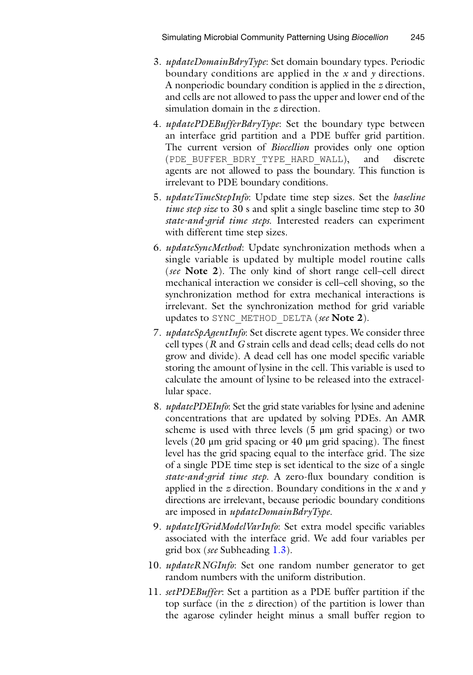- 3. *updateDomainBdryType*: Set domain boundary types. Periodic boundary conditions are applied in the *x* and *y* directions. A nonperiodic boundary condition is applied in the *z* direction, and cells are not allowed to pass the upper and lower end of the simulation domain in the *z* direction.
- 4. *updatePDEBufferBdryType*: Set the boundary type between an interface grid partition and a PDE buffer grid partition. The current version of *Biocellion* provides only one option (PDE\_BUFFER\_BDRY\_TYPE\_HARD\_WALL), and discrete agents are not allowed to pass the boundary. This function is irrelevant to PDE boundary conditions.
- 5. *updateTimeStepInfo*: Update time step sizes. Set the *baseline time step size* to 30 s and split a single baseline time step to 30 *state-and-grid time steps*. Interested readers can experiment with different time step sizes.
- 6. *updateSyncMethod*: Update synchronization methods when a single variable is updated by multiple model routine calls (*see* **Note 2**). The only kind of short range cell–cell direct mechanical interaction we consider is cell–cell shoving, so the synchronization method for extra mechanical interactions is irrelevant. Set the synchronization method for grid variable updates to SYNC\_METHOD\_DELTA (*see* **Note 2**).
- 7. *updateSpAgentInfo*: Set discrete agent types. We consider three cell types (*R* and *G* strain cells and dead cells; dead cells do not grow and divide). A dead cell has one model specific variable storing the amount of lysine in the cell. This variable is used to calculate the amount of lysine to be released into the extracellular space.
- 8. *updatePDEInfo*: Set the grid state variables for lysine and adenine concentrations that are updated by solving PDEs. An AMR scheme is used with three levels  $(5 \mu m)$  grid spacing) or two levels (20 μm grid spacing or 40 μm grid spacing). The finest level has the grid spacing equal to the interface grid. The size of a single PDE time step is set identical to the size of a single *state-and-grid time step*. A zero-flux boundary condition is applied in the *z* direction. Boundary conditions in the *x* and *y* directions are irrelevant, because periodic boundary conditions are imposed in *updateDomainBdryType*.
- 9. *updateIfGridModelVarInfo*: Set extra model specific variables associated with the interface grid. We add four variables per grid box (*see* Subheading [1.3](#page-6-0)).
- 10. *updateRNGInfo*: Set one random number generator to get random numbers with the uniform distribution.
- 11. *setPDEBuffer*: Set a partition as a PDE buffer partition if the top surface (in the *z* direction) of the partition is lower than the agarose cylinder height minus a small buffer region to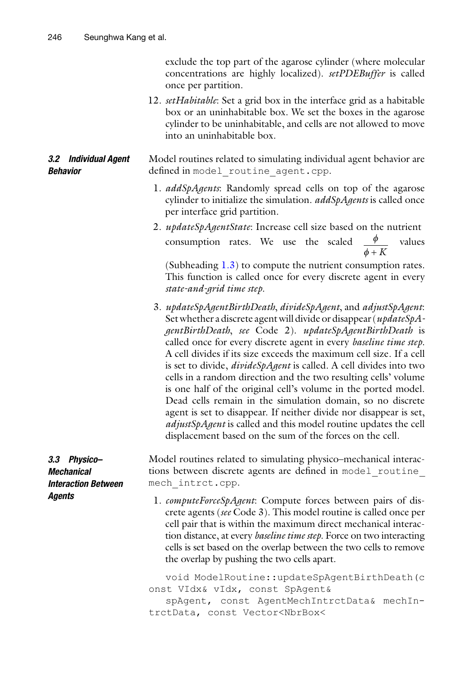exclude the top part of the agarose cylinder (where molecular concentrations are highly localized). *setPDEBuffer* is called once per partition.

12. *setHabitable*: Set a grid box in the interface grid as a habitable box or an uninhabitable box. We set the boxes in the agarose cylinder to be uninhabitable, and cells are not allowed to move into an uninhabitable box.

#### Model routines related to simulating individual agent behavior are defined in model routine agent.cpp. *3.2 Individual Agent Behavior*

- 1. *addSpAgents*: Randomly spread cells on top of the agarose cylinder to initialize the simulation. *addSpAgents* is called once per interface grid partition.
- 2. *updateSpAgentState*: Increase cell size based on the nutrient consumption rates. We use the scaled  $\frac{\phi}{\phi}$  $\phi + K$ values

(Subheading  $1.3$ ) to compute the nutrient consumption rates. This function is called once for every discrete agent in every *state-and-grid time step*.

3. *updateSpAgentBirthDeath*, *divideSpAgent*, and *adjustSpAgent*: Set whether a discrete agent will divide or disappear (*updateSpAgentBirthDeath*, *see* Code 2). *updateSpAgentBirthDeath* is called once for every discrete agent in every *baseline time step*. A cell divides if its size exceeds the maximum cell size. If a cell is set to divide, *divideSpAgent* is called. A cell divides into two cells in a random direction and the two resulting cells' volume is one half of the original cell's volume in the ported model. Dead cells remain in the simulation domain, so no discrete agent is set to disappear. If neither divide nor disappear is set, *adjustSpAgent* is called and this model routine updates the cell displacement based on the sum of the forces on the cell.

Model routines related to simulating physico–mechanical interactions between discrete agents are defined in model\_routine\_ mech\_intrct.cpp. 1. *computeForceSpAgent*: Compute forces between pairs of discrete agents (*see* Code 3). This model routine is called once per cell pair that is within the maximum direct mechanical interaction distance, at every *baseline time step*. Force on two interacting cells is set based on the overlap between the two cells to remove the overlap by pushing the two cells apart. void ModelRoutine::updateSpAgentBirthDeath(c onst VIdx& vIdx, const SpAgent& spAgent, const AgentMechIntrctData& mechIntrctData, const Vector<NbrBox< *3.3 Physico– Mechanical Interaction Between Agents*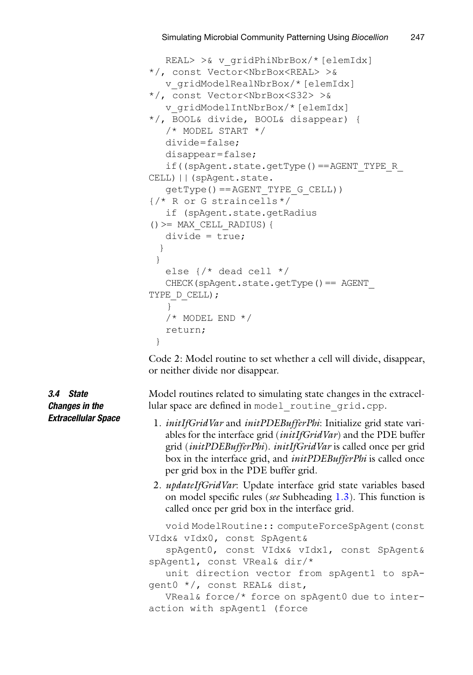```
REAL> >& v_gridPhiNbrBox/*[elemIdx] 
*/, const Vector<NbrBox<REAL> >&
   v_gridModelRealNbrBox/*[elemIdx] 
*/, const Vector<NbrBox<S32> >&
   v_gridModelIntNbrBox/*[elemIdx] 
*/, BOOL& divide, BOOL& disappear) {
   /* MODEL START */
   divide=false;
   disappear=false;
   if((spAgent.state.getType()==AGENT_TYPE_R_
CELL)||(spAgent.state.
   getType() == AGENT TYPE G CELL))
{/* R or G straincells*/
   if (spAgent.state.getRadius
() >= MAX CELL RADIUS)divide = true;
  }
 }
   else {/* dead cell */
   CHECK(spAgent.state.getType()== AGENT_
TYPE D CELL);
   }
   /* MODEL END */return;
 }
Code 2: Model routine to set whether a cell will divide, disappear, 
or neither divide nor disappear.
Model routines related to simulating state changes in the extracel-
lular space are defined in model routine grid.cpp.
 1. initIfGridVar and initPDEBufferPhi: Initialize grid state vari-
   ables for the interface grid (initIfGridVar) and the PDE buffer 
   grid (initPDEBufferPhi). initIfGridVar is called once per grid 
   box in the interface grid, and initPDEBufferPhi is called once 
   per grid box in the PDE buffer grid.
 2. updateIfGridVar: Update interface grid state variables based 
   on model specific rules (see Subheading 1.3). This function is 
   called once per grid box in the interface grid.
   void ModelRoutine:: computeForceSpAgent(const 
VIdx& vIdx0, const SpAgent&
   spAgent0, const VIdx& vIdx1, const SpAgent& 
spAgent1, const VReal& dir/*
   unit direction vector from spAgent1 to spA-
```
gent0 \*/, const REAL& dist,

VReal& force/\* force on spAgent0 due to interaction with spAgent1 (force

*3.4 State Changes in the Extracellular Space*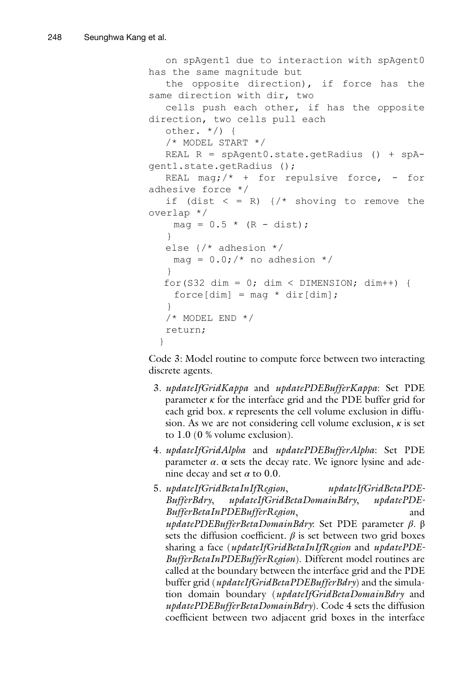```
on spAgent1 due to interaction with spAgent0 
has the same magnitude but
  the opposite direction), if force has the 
same direction with dir, two
  cells push each other, if has the opposite 
direction, two cells pull each
  other. */) {
  /* MODEL START */
  REAL R = spAgent0.state.getRadius () + spA-
gent1.state.getRadius ();
  REAL mag;/* + for repulsive force, - for
adhesive force */
  if (dist \langle = R \rangle {/* shoving to remove the
overlap */
    mag = 0.5 * (R - dist);}
  else {/* adhesion */
   mag = 0.0;/* no adhesion */
   }
  for(S32 dim = 0; dim < DIMENSION; dim++) {
    force[dim] = mag * dir[dim];}
  /* MODEL END */return;
 }
```
Code 3: Model routine to compute force between two interacting discrete agents.

- 3. *updateIfGridKappa* and *updatePDEBufferKappa*: Set PDE parameter *κ* for the interface grid and the PDE buffer grid for each grid box. *κ* represents the cell volume exclusion in diffusion. As we are not considering cell volume exclusion, *κ* is set to 1.0 (0 % volume exclusion).
- 4. *updateIfGridAlpha* and *updatePDEBufferAlpha*: Set PDE parameter  $α$ *.*  $α$  sets the decay rate. We ignore lysine and adenine decay and set *α* to 0.0.
- 5. *updateIfGridBetaInIfRegion*, *updateIfGridBetaPDE-BufferBdry*, *updateIfGridBetaDomainBdry*, *updatePDE-BufferBetaInPDEBufferRegion*, and *updatePDEBufferBetaDomainBdry*: Set PDE parameter *β.* β sets the diffusion coefficient.  $\beta$  is set between two grid boxes sharing a face (*updateIfGridBetaInIfRegion* and *updatePDE-BufferBetaInPDEBufferRegion*). Different model routines are called at the boundary between the interface grid and the PDE buffer grid (*updateIfGridBetaPDEBufferBdry*) and the simulation domain boundary (*updateIfGridBetaDomainBdry* and *updatePDEBufferBetaDomainBdry*). Code 4 sets the diffusion coefficient between two adjacent grid boxes in the interface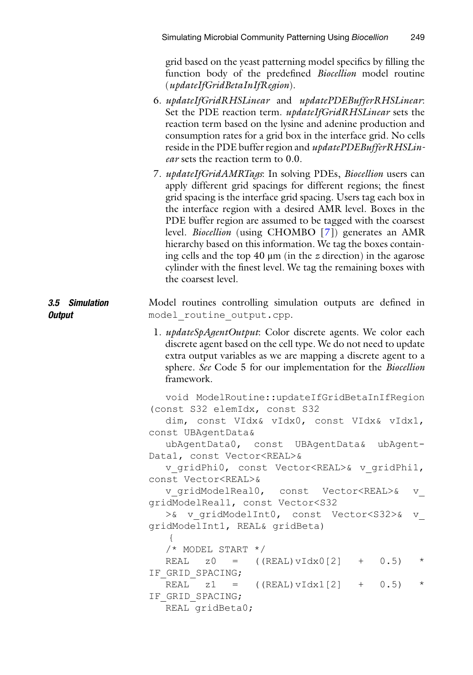grid based on the yeast patterning model specifics by filling the function body of the predefined *Biocellion* model routine (*updateIfGridBetaInIfRegion*).

- 6. *updateIfGridRHSLinear* and *updatePDEBufferRHSLinear*: Set the PDE reaction term. *updateIfGridRHSLinear* sets the reaction term based on the lysine and adenine production and consumption rates for a grid box in the interface grid. No cells reside in the PDE buffer region and *updatePDEBufferRHSLinear* sets the reaction term to 0.0.
- 7. *updateIfGridAMRTags*: In solving PDEs, *Biocellion* users can apply different grid spacings for different regions; the finest grid spacing is the interface grid spacing. Users tag each box in the interface region with a desired AMR level. Boxes in the PDE buffer region are assumed to be tagged with the coarsest level. *Biocellion* (using CHOMBO [[7](#page-20-3)]) generates an AMR hierarchy based on this information. We tag the boxes containing cells and the top 40 μm (in the *z* direction) in the agarose cylinder with the finest level. We tag the remaining boxes with the coarsest level.

Model routines controlling simulation outputs are defined in model\_routine\_output.cpp. *3.5 Simulation Output*

> 1. *updateSpAgentOutput*: Color discrete agents. We color each discrete agent based on the cell type. We do not need to update extra output variables as we are mapping a discrete agent to a sphere. *See* Code 5 for our implementation for the *Biocellion* framework.

void ModelRoutine::updateIfGridBetaInIfRegion (const S32 elemIdx, const S32

dim, const VIdx& vIdx0, const VIdx& vIdx1, const UBAgentData&

ubAgentData0, const UBAgentData& ubAgent-Data1, const Vector<REAL>&

v\_gridPhi0, const Vector<REAL>& v\_gridPhi1, const Vector<REAL>&

v\_gridModelReal0, const Vector<REAL>& v gridModelReal1, const Vector<S32

>& v\_gridModelInt0, const Vector<S32>& v\_ gridModelInt1, REAL& gridBeta)

{

 $\frac{1}{2}$  MODEL START \*/<br>REAL z0 = ((  $(REAL) \text{vId} \times 0[2] + 0.5$ IF GRID SPACING; REAL  $z1 = ((REAL)vIdx1[2] + 0.5) *$ 

IF GRID SPACING;

REAL gridBeta0;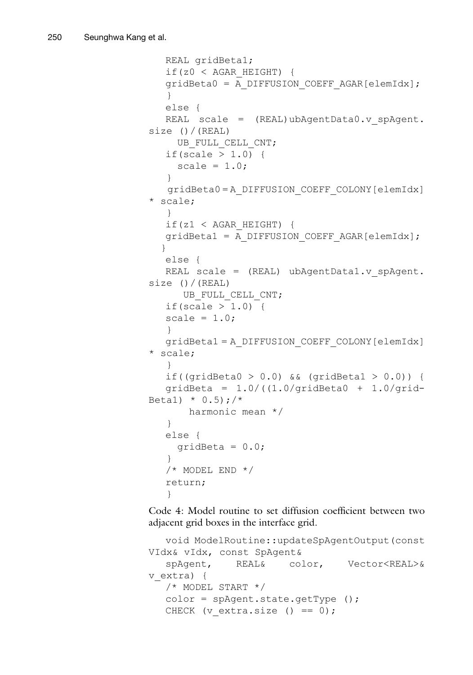```
REAL gridBeta1;
  if(z0 < AGAR HEIGHT) {
  qridBeta0 = A DIFFUSION COEFF AGAR[elemIdx];
  }
  else {
  REAL scale = (REAL)ubAgentData0.v spAgent.
size () / (REAL)UB FULL CELL CNT;
  if(scale > 1.0) {
    scale = 1.0;
   }
    gridBeta0 = A_DIFFUSION_COEFF_COLONY[elemIdx] 
* scale;
  }
  if(z1 < AGAR_HEIGHT) {
  gridBeta1 = A DIFFUSION COEFF AGAR[elemIdx];
 }
  else {
  REAL scale = (REAL) ubAgentData1.v spAgent.
size () / (REAL)UB_FULL_CELL_CNT;
  if(scale > 1.0) {
  scale = 1.0;
  }
  gridBeta1 = A_DIFFUSION_COEFF_COLONY[elemIdx] 
* scale;
  }
  if((gridBeta0 > 0.0) && (gridBeta1 > 0.0)) {
  gridBeta = 1.0 / ((1.0/gridBeta + 1.0/grid-)Betal) * 0.5;/*
       harmonic mean */
  }
  else {
     gridBeta = 0.0;
   }
  /* MODEL END */return;
   }
```
Code 4: Model routine to set diffusion coefficient between two adjacent grid boxes in the interface grid.

```
void ModelRoutine::updateSpAgentOutput(const 
VIdx& vIdx, const SpAgent&
  spAgent, REAL& color, Vector<REAL>& 
v_extra) {
  /* MODEL START */
  color = spAgent.state.getType ();
  CHECK (v extra.size () == 0;
```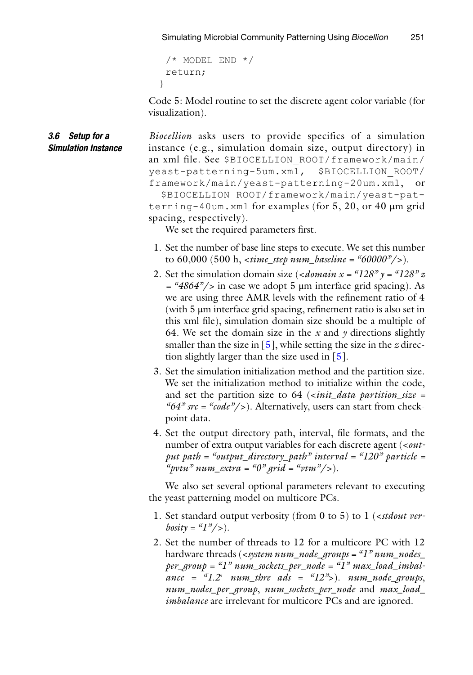```
/* MODEL END */return;
}
```
Code 5: Model routine to set the discrete agent color variable (for visualization).

*Biocellion* asks users to provide specifics of a simulation instance (e.g., simulation domain size, output directory) in an xml file. See \$BIOCELLION\_ROOT/framework/main/ yeast-patterning-5um.xml, \$BIOCELLION\_ROOT/ framework/main/yeast-patterning-20um.xml, or \$BIOCELLION\_ROOT/framework/main/yeast-patterning-40um.xml for examples (for 5, 20, or 40 μm grid spacing, respectively). *3.6 Setup for a Simulation Instance*

We set the required parameters first.

- 1. Set the number of base line steps to execute. We set this number to 60,000 (500 h, <*time\_step num\_baseline = "60000"*/>).
- 2. Set the simulation domain size ( $\lt$  *domain x* = " $128$ "  $\gamma$  = " $128$ "  $\approx$ *= "4864"*/> in case we adopt 5 μm interface grid spacing). As we are using three AMR levels with the refinement ratio of 4 (with 5 μm interface grid spacing, refinement ratio is also set in this xml file), simulation domain size should be a multiple of 64. We set the domain size in the *x* and *y* directions slightly smaller than the size in [\[5](#page-20-2)], while setting the size in the *z* direction slightly larger than the size used in  $\lceil 5 \rceil$ .
- 3. Set the simulation initialization method and the partition size. We set the initialization method to initialize within the code, and set the partition size to 64 (<*init\_data partition\_size = "64" src = "code"*/>). Alternatively, users can start from checkpoint data.
- 4. Set the output directory path, interval, file formats, and the number of extra output variables for each discrete agent (<*output path = "output\_directory\_path" interval = "120" particle = "pvtu" num\_extra = "0" grid = "vtm"*/>).

We also set several optional parameters relevant to executing the yeast patterning model on multicore PCs.

- 1. Set standard output verbosity (from 0 to 5) to 1 (<*stdout verbosity* =  $\binom{r}{2}$ .
- 2. Set the number of threads to 12 for a multicore PC with 12 hardware threads (<*system num\_node\_groups = "1" num\_nodes\_ per\_group = "1" num\_sockets\_per\_node = "1" max\_load\_imbalance = "1.2*' *num\_thre ads = "12"*>). *num\_node\_groups*, *num\_nodes\_per\_group*, *num\_sockets\_per\_node* and *max\_load\_ imbalance* are irrelevant for multicore PCs and are ignored.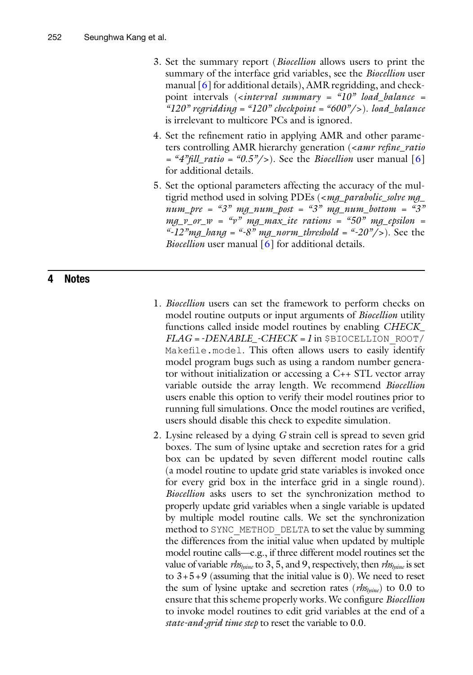- 3. Set the summary report (*Biocellion* allows users to print the summary of the interface grid variables, see the *Biocellion* user manual  $[6]$  $[6]$  $[6]$  for additional details), AMR regridding, and checkpoint intervals (<*interval summary = "10" load\_balance = "120" regridding = "120" checkpoint = "600"*/>). *load\_balance* is irrelevant to multicore PCs and is ignored.
- 4. Set the refinement ratio in applying AMR and other parameters controlling AMR hierarchy generation (<*amr refine\_ratio = "4"fill\_ratio = "0.5"*/>). See the *Biocellion* user manual [\[6](#page-20-4)] for additional details.
- 5. Set the optional parameters affecting the accuracy of the multigrid method used in solving PDEs (<*mg\_parabolic\_solve mg\_ num\_pre = "3" mg\_num\_post = "3" mg\_num\_bottom = "3"*   $mg\_v\_or\_w = \alpha v''$  mg\_max\_ite rations =  $\alpha$ 50" mg\_epsilon =  $-12<sup>w</sup>$ *mg\_hang =*  $-8<sup>w</sup>$  *mg\_norm\_threshold =*  $-20<sup>w</sup>/>$ *).* See the *Biocellion* user manual [\[6](#page-20-4)] for additional details.

#### **4 Notes**

- 1. *Biocellion* users can set the framework to perform checks on model routine outputs or input arguments of *Biocellion* utility functions called inside model routines by enabling *CHECK\_ FLAG = -DENABLE\_-CHECK = 1* in \$BIOCELLION\_ROOT/ Makefile.model. This often allows users to easily identify model program bugs such as using a random number generator without initialization or accessing a C++ STL vector array variable outside the array length. We recommend *Biocellion* users enable this option to verify their model routines prior to running full simulations. Once the model routines are verified, users should disable this check to expedite simulation.
- 2. Lysine released by a dying *G* strain cell is spread to seven grid boxes. The sum of lysine uptake and secretion rates for a grid box can be updated by seven different model routine calls (a model routine to update grid state variables is invoked once for every grid box in the interface grid in a single round). *Biocellion* asks users to set the synchronization method to properly update grid variables when a single variable is updated by multiple model routine calls. We set the synchronization method to SYNC\_METHOD\_DELTA to set the value by summing the differences from the initial value when updated by multiple model routine calls—e.g., if three different model routines set the value of variable *rhslysine* to 3, 5, and 9, respectively, then *rhslysine* is set to  $3+5+9$  (assuming that the initial value is 0). We need to reset the sum of lysine uptake and secretion rates (*rhslysine*) to 0.0 to ensure that this scheme properly works. We configure *Biocellion* to invoke model routines to edit grid variables at the end of a *state-and-grid time step* to reset the variable to 0.0.